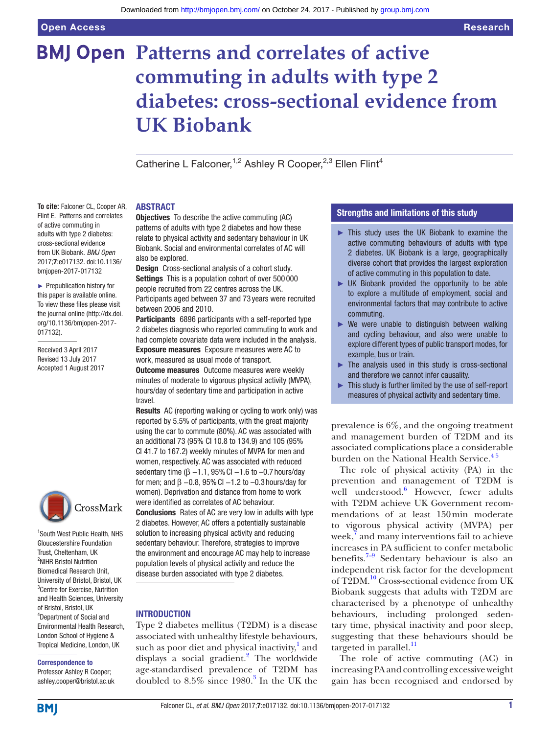# **BMJ Open Patterns and correlates of active commuting in adults with type 2 diabetes: cross-sectional evidence from UK Biobank**

Catherine L Falconer,<sup>1,2</sup> Ashley R Cooper,<sup>2,3</sup> Ellen Flint<sup>4</sup>

## **ABSTRACT**

**To cite:** Falconer CL, Cooper AR, Flint E. Patterns and correlates of active commuting in adults with type 2 diabetes: cross-sectional evidence from UK Biobank. *BMJ Open* 2017;7:e017132. doi:10.1136/ bmjopen-2017-017132

► Prepublication history for this paper is available online. To view these files please visit the journal online [\(http://dx.doi.](http://dx.doi.org/10.1136/bmjopen-2017-017132) [org/10.1136/bmjopen-2017-](http://dx.doi.org/10.1136/bmjopen-2017-017132) [017132\)](http://dx.doi.org/10.1136/bmjopen-2017-017132).

Received 3 April 2017 Revised 13 July 2017 Accepted 1 August 2017



1 South West Public Health, NHS Gloucestershire Foundation Trust, Cheltenham, UK <sup>2</sup>NIHR Bristol Nutrition Biomedical Research Unit, University of Bristol, Bristol, UK 3 Centre for Exercise, Nutrition and Health Sciences, University of Bristol, Bristol, UK 4 Department of Social and Environmental Health Research, London School of Hygiene & Tropical Medicine, London, UK

#### Correspondence to

Professor Ashley R Cooper; ashley.cooper@bristol.ac.uk **Objectives** To describe the active commuting (AC) patterns of adults with type 2 diabetes and how these relate to physical activity and sedentary behaviour in UK Biobank. Social and environmental correlates of AC will also be explored.

Design Cross-sectional analysis of a cohort study. Settings This is a population cohort of over 500 000 people recruited from 22 centres across the UK. Participants aged between 37 and 73 years were recruited between 2006 and 2010.

Participants 6896 participants with a self-reported type 2 diabetes diagnosis who reported commuting to work and had complete covariate data were included in the analysis. Exposure measures Exposure measures were AC to work, measured as usual mode of transport.

**Outcome measures** Outcome measures were weekly minutes of moderate to vigorous physical activity (MVPA), hours/day of sedentary time and participation in active travel.

Results AC (reporting walking or cycling to work only) was reported by 5.5% of participants, with the great majority using the car to commute (80%). AC was associated with an additional 73 (95% CI 10.8 to 134.9) and 105 (95% CI 41.7 to 167.2) weekly minutes of MVPA for men and women, respectively. AC was associated with reduced sedentary time ( $\beta$  -1.1, 95% CI -1.6 to -0.7 hours/day for men; and  $\beta$  –0.8, 95% CI –1.2 to –0.3 hours/day for women). Deprivation and distance from home to work were identified as correlates of AC behaviour. Conclusions Rates of AC are very low in adults with type 2 diabetes. However, AC offers a potentially sustainable solution to increasing physical activity and reducing sedentary behaviour. Therefore, strategies to improve the environment and encourage AC may help to increase population levels of physical activity and reduce the disease burden associated with type 2 diabetes.

# **INTRODUCTION**

Type 2 diabetes mellitus (T2DM) is a disease associated with unhealthy lifestyle behaviours, such as poor diet and physical inactivity,<sup>[1](#page-8-0)</sup> and displays a social gradient.<sup>2</sup> The worldwide age-standardised prevalence of T2DM has doubled to  $8.5\%$  since  $1980.<sup>3</sup>$  $1980.<sup>3</sup>$  $1980.<sup>3</sup>$  In the UK the

# Strengths and limitations of this study

- ► This study uses the UK Biobank to examine the active commuting behaviours of adults with type 2 diabetes. UK Biobank is a large, geographically diverse cohort that provides the largest exploration of active commuting in this population to date.
- $\triangleright$  UK Biobank provided the opportunity to be able to explore a multitude of employment, social and environmental factors that may contribute to active commuting.
- $\triangleright$  We were unable to distinguish between walking and cycling behaviour, and also were unable to explore different types of public transport modes, for example, bus or train.
- $\blacktriangleright$  The analysis used in this study is cross-sectional and therefore we cannot infer causality.
- ► This study is further limited by the use of self-report measures of physical activity and sedentary time.

prevalence is 6%, and the ongoing treatment and management burden of T2DM and its associated complications place a considerable burden on the National Health Service.<sup>45</sup>

The role of physical activity (PA) in the prevention and management of T2DM is well understood.<sup>[6](#page-8-4)</sup> However, fewer adults with T2DM achieve UK Government recommendations of at least 150min moderate to vigorous physical activity (MVPA) per week, $\bar{7}$  $\bar{7}$  $\bar{7}$  and many interventions fail to achieve increases in PA sufficient to confer metabolic benefits. $7-9$  Sedentary behaviour is also an independent risk factor for the development of T2DM.<sup>10</sup> Cross-sectional evidence from UK Biobank suggests that adults with T2DM are characterised by a phenotype of unhealthy behaviours, including prolonged sedentary time, physical inactivity and poor sleep, suggesting that these behaviours should be targeted in parallel.<sup>[11](#page-8-7)</sup>

The role of active commuting (AC) in increasing PA and controlling excessive weight gain has been recognised and endorsed by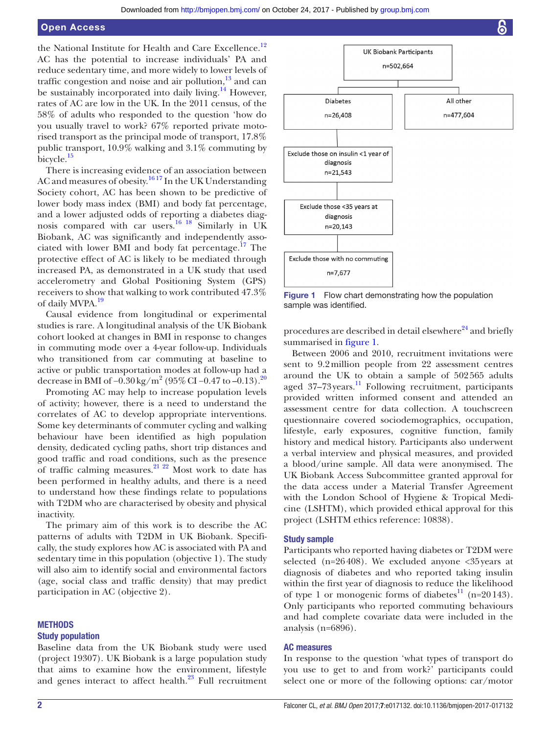# Open Access

the National Institute for Health and Care Excellence.<sup>12</sup> AC has the potential to increase individuals' PA and reduce sedentary time, and more widely to lower levels of traffic congestion and noise and air pollution, $13$  and can be sustainably incorporated into daily living.<sup>14</sup> However, rates of AC are low in the UK. In the 2011 census, of the 58% of adults who responded to the question 'how do you usually travel to work? 67% reported private motorised transport as the principal mode of transport, 17.8% public transport, 10.9% walking and 3.1% commuting by bicycle.<sup>[15](#page-8-11)</sup>

There is increasing evidence of an association between AC and measures of obesity.<sup>1617</sup> In the UK Understanding Society cohort, AC has been shown to be predictive of lower body mass index (BMI) and body fat percentage, and a lower adjusted odds of reporting a diabetes diagnosis compared with car users.<sup>16 18</sup> Similarly in UK Biobank, AC was significantly and independently associated with lower BMI and body fat percentage. $17$  The protective effect of AC is likely to be mediated through increased PA, as demonstrated in a UK study that used accelerometry and Global Positioning System (GPS) receivers to show that walking to work contributed 47.3% of daily MVPA.<sup>[19](#page-8-14)</sup>

Causal evidence from longitudinal or experimental studies is rare. A longitudinal analysis of the UK Biobank cohort looked at changes in BMI in response to changes in commuting mode over a 4-year follow-up. Individuals who transitioned from car commuting at baseline to active or public transportation modes at follow-up had a decrease in BMI of –0.30 kg/m<sup>2</sup> (95% CI –0.47 to –0.13).<sup>20</sup>

Promoting AC may help to increase population levels of activity; however, there is a need to understand the correlates of AC to develop appropriate interventions. Some key determinants of commuter cycling and walking behaviour have been identified as high population density, dedicated cycling paths, short trip distances and good traffic and road conditions, such as the presence of traffic calming measures. $2^{122}$  Most work to date has been performed in healthy adults, and there is a need to understand how these findings relate to populations with T2DM who are characterised by obesity and physical inactivity.

The primary aim of this work is to describe the AC patterns of adults with T2DM in UK Biobank. Specifically, the study explores how AC is associated with PA and sedentary time in this population (objective 1). The study will also aim to identify social and environmental factors (age, social class and traffic density) that may predict participation in AC (objective 2).

#### **METHODS**

#### Study population

Baseline data from the UK Biobank study were used (project 19307). UK Biobank is a large population study that aims to examine how the environment, lifestyle and genes interact to affect health. $23$  Full recruitment



<span id="page-1-0"></span>Figure 1 Flow chart demonstrating how the population sample was identified.

procedures are described in detail elsewhere<sup>24</sup> and briefly summarised in [figure](#page-1-0) 1.

Between 2006 and 2010, recruitment invitations were sent to 9.2million people from 22 assessment centres around the UK to obtain a sample of 502565 adults aged 37-73 years.<sup>11</sup> Following recruitment, participants provided written informed consent and attended an assessment centre for data collection. A touchscreen questionnaire covered sociodemographics, occupation, lifestyle, early exposures, cognitive function, family history and medical history. Participants also underwent a verbal interview and physical measures, and provided a blood/urine sample. All data were anonymised. The UK Biobank Access Subcommittee granted approval for the data access under a Material Transfer Agreement with the London School of Hygiene & Tropical Medicine (LSHTM), which provided ethical approval for this project (LSHTM ethics reference: 10838).

#### Study sample

Participants who reported having diabetes or T2DM were selected (n=26408). We excluded anyone <35years at diagnosis of diabetes and who reported taking insulin within the first year of diagnosis to reduce the likelihood of type 1 or monogenic forms of diabetes<sup>[11](#page-8-7)</sup> (n=20143). Only participants who reported commuting behaviours and had complete covariate data were included in the analysis (n=6896).

#### AC measures

In response to the question 'what types of transport do you use to get to and from work?' participants could select one or more of the following options: car/motor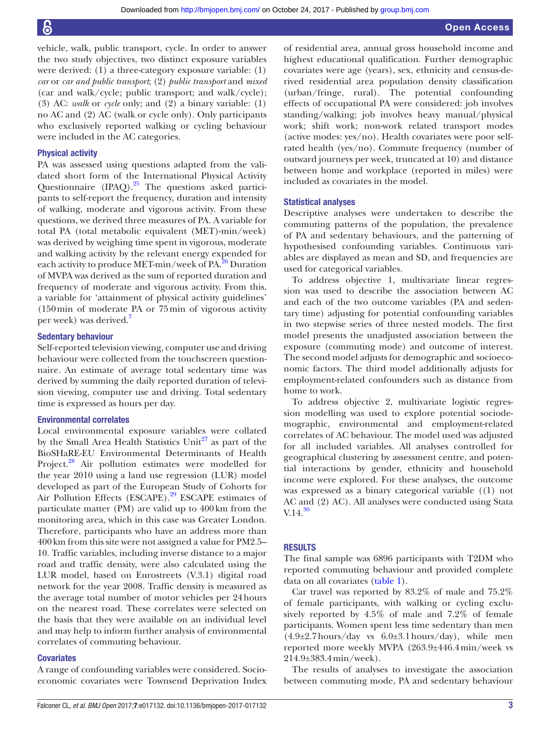vehicle, walk, public transport, cycle. In order to answer the two study objectives, two distinct exposure variables were derived: (1) a three-category exposure variable: (1) *car* or *car and public transport*; (2) *public transport* and *mixed* (car and walk/cycle; public transport; and walk/cycle); (3) AC: *walk* or *cycle* only; and (2) a binary variable: (1) no AC and (2) AC (walk or cycle only). Only participants who exclusively reported walking or cycling behaviour were included in the AC categories.

### Physical activity

PA was assessed using questions adapted from the validated short form of the International Physical Activity Questionnaire (IPAQ).<sup>25</sup> The questions asked participants to self-report the frequency, duration and intensity of walking, moderate and vigorous activity. From these questions, we derived three measures of PA. A variable for total PA (total metabolic equivalent (MET)-min/week) was derived by weighing time spent in vigorous, moderate and walking activity by the relevant energy expended for each activity to produce MET-min/week of PA.<sup>26</sup> Duration of MVPA was derived as the sum of reported duration and frequency of moderate and vigorous activity. From this, a variable for 'attainment of physical activity guidelines' (150min of moderate PA or 75min of vigorous activity per week) was derived.[7](#page-8-5)

# Sedentary behaviour

Self-reported television viewing, computer use and driving behaviour were collected from the touchscreen questionnaire. An estimate of average total sedentary time was derived by summing the daily reported duration of television viewing, computer use and driving. Total sedentary time is expressed as hours per day.

### Environmental correlates

Local environmental exposure variables were collated by the Small Area Health Statistics  $Unit^{27}$  as part of the BioSHaRE-EU Environmental Determinants of Health Project.<sup>28</sup> Air pollution estimates were modelled for the year 2010 using a land use regression (LUR) model developed as part of the European Study of Cohorts for Air Pollution Effects (ESCAPE).<sup>29</sup> ESCAPE estimates of particulate matter (PM) are valid up to 400km from the monitoring area, which in this case was Greater London. Therefore, participants who have an address more than 400km from this site were not assigned a value for PM2.5– 10. Traffic variables, including inverse distance to a major road and traffic density, were also calculated using the LUR model, based on Eurostreets (V.3.1) digital road network for the year 2008. Traffic density is measured as the average total number of motor vehicles per 24hours on the nearest road. These correlates were selected on the basis that they were available on an individual level and may help to inform further analysis of environmental correlates of commuting behaviour.

#### **Covariates**

A range of confounding variables were considered. Socioeconomic covariates were Townsend Deprivation Index

of residential area, annual gross household income and highest educational qualification. Further demographic covariates were age (years), sex, ethnicity and census-derived residential area population density classification (urban/fringe, rural). The potential confounding effects of occupational PA were considered: job involves standing/walking; job involves heavy manual/physical work; shift work; non-work related transport modes (active modes: yes/no). Health covariates were poor selfrated health (yes/no). Commute frequency (number of outward journeys per week, truncated at 10) and distance between home and workplace (reported in miles) were included as covariates in the model.

### Statistical analyses

Descriptive analyses were undertaken to describe the commuting patterns of the population, the prevalence of PA and sedentary behaviours, and the patterning of hypothesised confounding variables. Continuous variables are displayed as mean and SD, and frequencies are used for categorical variables.

To address objective 1, multivariate linear regression was used to describe the association between AC and each of the two outcome variables (PA and sedentary time) adjusting for potential confounding variables in two stepwise series of three nested models. The first model presents the unadjusted association between the exposure (commuting mode) and outcome of interest. The second model adjusts for demographic and socioeconomic factors. The third model additionally adjusts for employment-related confounders such as distance from home to work.

To address objective 2, multivariate logistic regression modelling was used to explore potential sociodemographic, environmental and employment-related correlates of AC behaviour. The model used was adjusted for all included variables. All analyses controlled for geographical clustering by assessment centre, and potential interactions by gender, ethnicity and household income were explored. For these analyses, the outcome was expressed as a binary categorical variable ((1) not AC and (2) AC). All analyses were conducted using Stata  $V.14.<sup>30</sup>$  $V.14.<sup>30</sup>$  $V.14.<sup>30</sup>$ 

#### **RESULTS**

The final sample was 6896 participants with T2DM who reported commuting behaviour and provided complete data on all covariates ([table](#page-3-0) 1).

Car travel was reported by 83.2% of male and 75.2% of female participants, with walking or cycling exclusively reported by 4.5% of male and 7.2% of female participants. Women spent less time sedentary than men  $(4.9\pm2.7 \text{ hours/day}$  vs  $6.0\pm3.1 \text{ hours/day}$ , while men reported more weekly MVPA (263.9±446.4min/week vs 214.9±383.4min/week).

The results of analyses to investigate the association between commuting mode, PA and sedentary behaviour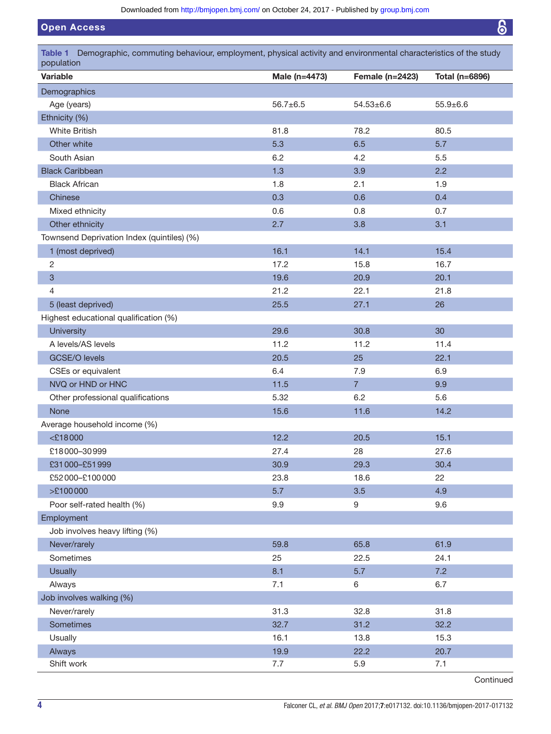Open Access

<span id="page-3-0"></span>

| Table 1 Demographic, commuting behaviour, employment, physical activity and environmental characteristics of the study<br>population |                |                 |                |
|--------------------------------------------------------------------------------------------------------------------------------------|----------------|-----------------|----------------|
| <b>Variable</b>                                                                                                                      | Male (n=4473)  | Female (n=2423) | Total (n=6896) |
| Demographics                                                                                                                         |                |                 |                |
| Age (years)                                                                                                                          | $56.7 \pm 6.5$ | $54.53 \pm 6.6$ | $55.9 \pm 6.6$ |
| Ethnicity (%)                                                                                                                        |                |                 |                |
| <b>White British</b>                                                                                                                 | 81.8           | 78.2            | 80.5           |
| Other white                                                                                                                          | 5.3            | 6.5             | 5.7            |
| South Asian                                                                                                                          | 6.2            | 4.2             | 5.5            |
| <b>Black Caribbean</b>                                                                                                               | 1.3            | 3.9             | 2.2            |
| <b>Black African</b>                                                                                                                 | 1.8            | 2.1             | 1.9            |
| Chinese                                                                                                                              | 0.3            | 0.6             | 0.4            |
| Mixed ethnicity                                                                                                                      | 0.6            | 0.8             | 0.7            |
| Other ethnicity                                                                                                                      | 2.7            | 3.8             | 3.1            |
| Townsend Deprivation Index (quintiles) (%)                                                                                           |                |                 |                |
| 1 (most deprived)                                                                                                                    | 16.1           | 14.1            | 15.4           |
| $\overline{c}$                                                                                                                       | 17.2           | 15.8            | 16.7           |
| 3                                                                                                                                    | 19.6           | 20.9            | 20.1           |
| 4                                                                                                                                    | 21.2           | 22.1            | 21.8           |
| 5 (least deprived)                                                                                                                   | 25.5           | 27.1            | 26             |
| Highest educational qualification (%)                                                                                                |                |                 |                |
| <b>University</b>                                                                                                                    | 29.6           | 30.8            | 30             |
| A levels/AS levels                                                                                                                   | 11.2           | 11.2            | 11.4           |
| <b>GCSE/O levels</b>                                                                                                                 | 20.5           | 25              | 22.1           |
| CSEs or equivalent                                                                                                                   | 6.4            | 7.9             | 6.9            |
| NVQ or HND or HNC                                                                                                                    | $11.5$         | $\overline{7}$  | 9.9            |
| Other professional qualifications                                                                                                    | 5.32           | 6.2             | 5.6            |
| <b>None</b>                                                                                                                          | 15.6           | 11.6            | 14.2           |
| Average household income (%)                                                                                                         |                |                 |                |
| $<$ £18000                                                                                                                           | 12.2           | 20.5            | 15.1           |
| £18000-30999                                                                                                                         | 27.4           | 28              | 27.6           |
| £31000-£51999                                                                                                                        | 30.9           | 29.3            | 30.4           |
| £52000-£100000                                                                                                                       | 23.8           | 18.6            | 22             |
| >£100000                                                                                                                             | 5.7            | 3.5             | 4.9            |
| Poor self-rated health (%)                                                                                                           | 9.9            | 9               | 9.6            |
| Employment                                                                                                                           |                |                 |                |
| Job involves heavy lifting (%)                                                                                                       |                |                 |                |
| Never/rarely                                                                                                                         | 59.8           | 65.8            | 61.9           |
| Sometimes                                                                                                                            | 25             | 22.5            | 24.1           |
| <b>Usually</b>                                                                                                                       | 8.1            | 5.7             | 7.2            |
| Always                                                                                                                               | 7.1            | 6               | 6.7            |
| Job involves walking (%)                                                                                                             |                |                 |                |
| Never/rarely                                                                                                                         | 31.3           | 32.8            | 31.8           |
| Sometimes                                                                                                                            | 32.7           | 31.2            | 32.2           |
| Usually                                                                                                                              | 16.1           | 13.8            | 15.3           |
| Always                                                                                                                               | 19.9           | 22.2            | 20.7           |
| Shift work                                                                                                                           | 7.7            | 5.9             | 7.1            |

Continued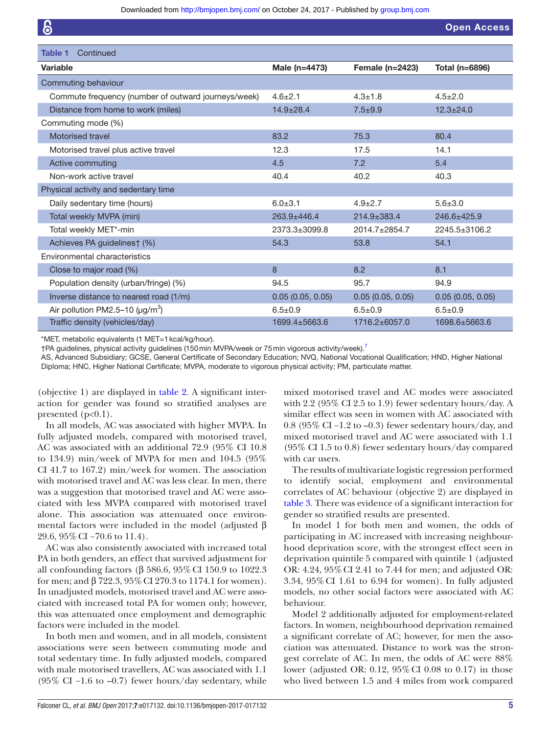| 6                                                   |                  |                   | <b>Open Access</b> |
|-----------------------------------------------------|------------------|-------------------|--------------------|
|                                                     |                  |                   |                    |
| Table 1<br>Continued                                |                  |                   |                    |
| <b>Variable</b>                                     | Male (n=4473)    | Female (n=2423)   | Total (n=6896)     |
| Commuting behaviour                                 |                  |                   |                    |
| Commute frequency (number of outward journeys/week) | $4.6 \pm 2.1$    | $4.3 \pm 1.8$     | $4.5 \pm 2.0$      |
| Distance from home to work (miles)                  | $14.9 \pm 28.4$  | $7.5 + 9.9$       | $12.3 \pm 24.0$    |
| Commuting mode (%)                                  |                  |                   |                    |
| Motorised travel                                    | 83.2             | 75.3              | 80.4               |
| Motorised travel plus active travel                 | 12.3             | 17.5              | 14.1               |
| Active commuting                                    | 4.5              | 7.2               | 5.4                |
| Non-work active travel                              | 40.4             | 40.2              | 40.3               |
| Physical activity and sedentary time                |                  |                   |                    |
| Daily sedentary time (hours)                        | $6.0 + 3.1$      | $4.9 \pm 2.7$     | $5.6 \pm 3.0$      |
| Total weekly MVPA (min)                             | 263.9±446.4      | $214.9 \pm 383.4$ | 246.6±425.9        |
| Total weekly MET*-min                               | 2373.3±3099.8    | 2014.7±2854.7     | 2245.5±3106.2      |
| Achieves PA guidelines† (%)                         | 54.3             | 53.8              | 54.1               |
| Environmental characteristics                       |                  |                   |                    |
| Close to major road (%)                             | 8                | 8.2               | 8.1                |
| Population density (urban/fringe) (%)               | 94.5             | 95.7              | 94.9               |
| Inverse distance to nearest road (1/m)              | 0.05(0.05, 0.05) | 0.05(0.05, 0.05)  | 0.05(0.05, 0.05)   |
| Air pollution PM2.5-10 ( $\mu$ g/m <sup>3</sup> )   | $6.5 \pm 0.9$    | $6.5 + 0.9$       | $6.5 \pm 0.9$      |
| Traffic density (vehicles/day)                      | 1699.4±5663.6    | 1716.2±6057.0     | 1698.6±5663.6      |

\*MET, metabolic equivalents (1 MET=1kcal/kg/hour).

†PA guidelines, physical activity guidelines (150min MVPA/week or 75min vigorous activity/week)[.7](#page-8-5)

AS, Advanced Subsidiary; GCSE, General Certificate of Secondary Education; NVQ, National Vocational Qualification; HND, Higher National Diploma; HNC, Higher National Certificate; MVPA, moderate to vigorous physical activity; PM, particulate matter.

(objective 1) are displayed in [table](#page-5-0) 2. A significant interaction for gender was found so stratified analyses are presented  $(p<0.1)$ .

In all models, AC was associated with higher MVPA. In fully adjusted models, compared with motorised travel, AC was associated with an additional 72.9 (95% CI 10.8 to 134.9) min/week of MVPA for men and 104.5 (95% CI 41.7 to 167.2) min/week for women. The association with motorised travel and AC was less clear. In men, there was a suggestion that motorised travel and AC were associated with less MVPA compared with motorised travel alone. This association was attenuated once environmental factors were included in the model (adjusted β 29.6, 95% CI −70.6 to 11.4).

AC was also consistently associated with increased total PA in both genders, an effect that survived adjustment for all confounding factors (β 586.6, 95% CI 150.9 to 1022.3 for men; and β 722.3, 95%CI 270.3 to 1174.1 for women). In unadjusted models, motorised travel and AC were associated with increased total PA for women only; however, this was attenuated once employment and demographic factors were included in the model.

In both men and women, and in all models, consistent associations were seen between commuting mode and total sedentary time. In fully adjusted models, compared with male motorised travellers, AC was associated with 1.1 (95% CI –1.6 to –0.7) fewer hours/day sedentary, while

mixed motorised travel and AC modes were associated with 2.2 (95\% CI 2.5 to 1.9) fewer sedentary hours/day. A similar effect was seen in women with AC associated with 0.8 (95% CI −1.2 to –0.3) fewer sedentary hours/day, and mixed motorised travel and AC were associated with 1.1 (95% CI 1.5 to 0.8) fewer sedentary hours/day compared with car users.

The results of multivariate logistic regression performed to identify social, employment and environmental correlates of AC behaviour (objective 2) are displayed in [table](#page-6-0) 3. There was evidence of a significant interaction for gender so stratified results are presented.

In model 1 for both men and women, the odds of participating in AC increased with increasing neighbourhood deprivation score, with the strongest effect seen in deprivation quintile 5 compared with quintile 1 (adjusted OR: 4.24, 95%CI 2.41 to 7.44 for men; and adjusted OR: 3.34, 95%CI 1.61 to 6.94 for women). In fully adjusted models, no other social factors were associated with AC behaviour.

Model 2 additionally adjusted for employment-related factors. In women, neighbourhood deprivation remained a significant correlate of AC; however, for men the association was attenuated. Distance to work was the strongest correlate of AC. In men, the odds of AC were 88% lower (adjusted OR: 0.12, 95%CI 0.08 to 0.17) in those who lived between 1.5 and 4 miles from work compared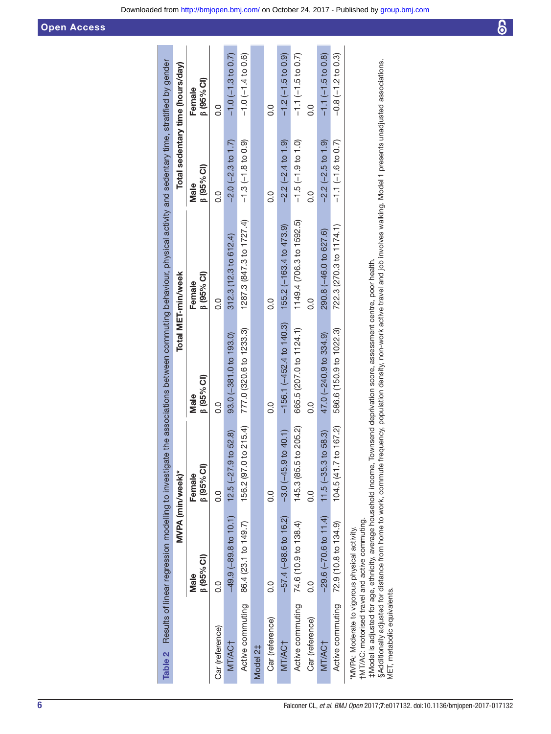|                                               |                                                | MVPA (min/week)*           |                           | Total MET-min/week              |                         | Total sedentary time (hours/day) |
|-----------------------------------------------|------------------------------------------------|----------------------------|---------------------------|---------------------------------|-------------------------|----------------------------------|
|                                               | $(95\%$ Cl<br>Male                             | $\beta$ (95% CI)<br>Female | $\beta$ (95% CI)<br>Male  | (95% C1)<br>Female              | $[0.5\%$ CI)<br>Male    | $\beta$ (95% CI)<br>Female       |
| Car (reference)                               | o.o                                            | o.o                        | o.o                       | o.o                             | o.o                     | o.o                              |
| MT/AC <sub>T</sub>                            | $-49.9(-89.8 \text{ to } 10.1)$                | $12.5$ (-27.9 to 52.8)     | $93.0(-381.0 to 193.0)$   | $312.3(12.3 \text{ to } 612.4)$ | $-2.0$ $(-2.3$ to 1.7)  | $-1.0$ $(-1.3$ to 0.7)           |
| Active commuting                              | 86.4 (23.1 to 149.7)                           | 156.2 (97.0 to 215.4)      | 777.0 (320.6 to 1233.3)   | 1287.3 (847.3 to 1727.4)        | $-1.3(-1.8 to 0.9)$     | $-1.0$ $(-1.4$ to 0.6)           |
| Model 2‡                                      |                                                |                            |                           |                                 |                         |                                  |
| Car (reference)                               | $\frac{0}{2}$                                  | o<br>O                     | o.o                       | o.o                             | o.                      | o.                               |
| MT/AC <sub>T</sub>                            | $-57.4(-98.6$ to 16.2)                         | $-3.0(-45.9$ to 40.1)      | $-156.1(-452.4 to 140.3)$ | 155.2 (-163.4 to 473.9)         | $-2.2(-2.4 to 1.9)$     | $-1.2$ ( $-1.5$ to 0.9)          |
|                                               | Active commuting 74.6 (10.9 to 138.4)          | 145.3 (85.5 to 205.2)      | 665.5 (207.0 to 1124.1)   | 1149.4 (706.3 to 1592.5)        | $-1.5(-1.9 to 1.0)$     | $-1.1$ $(-1.5$ to 0.7)           |
| Car (reference)                               | o<br>O                                         | o.o                        | o.<br>O                   | o.                              | o<br>O                  | o.o                              |
| MT/AC <sub>T</sub>                            | $-29.6$ ( $-70.6$ to 11.4)                     | $11.5(-35.3$ to $58.3)$    | 47.0 (-240.9 to 334.9)    | 290.8 (-46.0 to 627.6)          | $-2.2$ ( $-2.5$ to 1.9) | $-1.1$ $(-1.5$ to 0.8)           |
| Active commuting                              | 72.9 (10.8 to 134.9)                           | 104.5 (41.7 to 167.2)      | 586.6 (150.9 to 1022.3)   | 722.3 (270.3 to 1174.1)         | $-1.1(-1.6 to 0.7)$     | $-0.8(-1.2 \text{ to } 0.3)$     |
| *MVPA: Moderate to vigorous physical activity | TMT/AC: motorised travel and active commuting. |                            |                           |                                 |                         |                                  |

‡Model is adjusted for age, ethnicity, average household income, Townsend deprivation score, assessment centre, poor health.<br>§Additionally adjusted for distance from home to work, commute frequency, population density, no §Additionally adjusted for distance from home to work, commute frequency, population density, non-work active travel and job involves walking. Model 1 presents unadjusted associations. ‡Model is adjusted for age, ethnicity, average household income, Townsend deprivation score, assessment centre, poor health.

<span id="page-5-0"></span>MET, metabolic equivalents.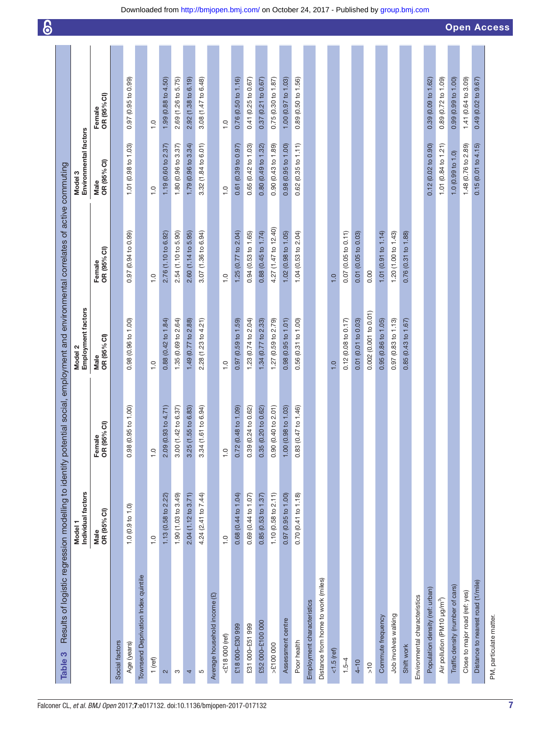<span id="page-6-0"></span>

| Results of logistic regression modelling to identify potential social, employment and environmental correlates of active commuting<br>Table 3 |                                          |                                   |                               |                                |                                  |                       |
|-----------------------------------------------------------------------------------------------------------------------------------------------|------------------------------------------|-----------------------------------|-------------------------------|--------------------------------|----------------------------------|-----------------------|
|                                                                                                                                               | Individual factors<br>Model <sub>1</sub> |                                   | Employment factors<br>Model 2 |                                | Environmental factors<br>Model 3 |                       |
|                                                                                                                                               | Male<br>OR (95% CI)                      | Female<br>OR (95% CI)             | OR (95% CI)<br>Male           | OR (95% CI)<br>Female          | Male<br>OR (95% CI)              | OR (95% CI)<br>Female |
| Social factors                                                                                                                                |                                          |                                   |                               |                                |                                  |                       |
| Age (years)                                                                                                                                   | 1.0(0.9 to 1.0)                          | 98 (0.95 to 1.00)<br>ö            | 0.98 (0.96 to 1.00)           | 0.97 (0.94 to 0.99)            | 1.01 (0.98 to 1.03)              | 0.97 (0.95 to 0.99)   |
| Townsend Deprivation Index quintile                                                                                                           |                                          |                                   |                               |                                |                                  |                       |
| 1 (ref)                                                                                                                                       | $\frac{0}{1}$                            | $\frac{0}{1}$                     | $\frac{1}{1}$                 | $\frac{0}{1}$                  | $\frac{0}{1}$                    | $\overline{1}$ .0     |
| $\sim$                                                                                                                                        | 1.13 (0.58 to 2.22)                      | 09 (0.93 to 4.71)<br>$\mathbf{a}$ | 0.88 (0.42 to 1.84)           | 2.76 (1.10 to 6.92)            | 1.19 (0.60 to 2.37)              | 1.99 (0.88 to 4.50)   |
| S                                                                                                                                             | 1.90 (1.03 to 3.49)                      | 00 (1.42 to 6.37)<br>ကံ           | 1.35 (0.69 to 2.64)           | 2.54 (1.10 to 5.90)            | 1.80 (0.96 to 3.37)              | 2.69 (1.26 to 5.75)   |
| 4                                                                                                                                             | 2.04 (1.12 to 3.71)                      | 25 (1.55 to 6.83)<br>က            | 1.49 (0.77 to 2.88)           | 2.60 (1.14 to 5.95)            | 1.79 (0.96 to 3.34)              | 2.92 (1.38 to 6.19)   |
| S                                                                                                                                             | 4.24 (2.41 to 7.44)                      | 34 (1.61 to 6.94)<br>က            | 2.28 (1.23 to 4.21)           | 3.07 (1.36 to 6.94)            | 3.32 (1.84 to 6.01)              | 3.08 (1.47 to 6.48)   |
| Average household income (£)                                                                                                                  |                                          |                                   |                               |                                |                                  |                       |
| $<$ £18 000 (ref)                                                                                                                             | $\frac{0}{1}$                            | $\frac{0}{1}$                     | $\frac{0}{1}$                 | $\frac{0}{1}$                  | $\frac{0}{1}$                    | $\frac{0}{1}$         |
| £18 000-£30 999                                                                                                                               | 0.68 (0.44 to 1.04)                      | 0.72 (0.48 to 1.09)               | 0.97 (0.59 to 1.59)           | 1.25 (0.77 to $2.04$ )         | $0.61$ (0.39 to 0.97)            | 0.76 (0.50 to 1.16)   |
| £31 000-£51 999                                                                                                                               | 0.69 (0.44 to 1.07)                      | 0.39 (0.24 to 0.62)               | 1.23 (0.74 to 2.04)           | 0.94 (0.53 to 1.65)            | 0.65 (0.42 to 1.03)              | 0.41 (0.25 to 0.67)   |
| £52 000-£100 000                                                                                                                              | 0.85(0.53 to 1.37)                       | 0.35(0.20 to 0.62)                | 1.34 (0.77 to 2.33)           | 0.88(0.45 to 1.74)             | 0.80 (0.49 to 1.32)              | $0.37$ (0.21 to 0.67) |
| >£100 000                                                                                                                                     | 1.10(0.58 to 2.11)                       | 0.90(0.40 to 2.01)                | 1.27 (0.59 to 2.79)           | 4.27 (1.47 to 12.40)           | 0.90 (0.43 to 1.89)              | 0.75 (0.30 to 1.87)   |
| Assessment centre                                                                                                                             | 0.97(0.95 to 1.00)                       | 1.00 (0.98 to 1.03)               | 0.98(0.95 to 1.01)            | 1.02 (0.98 to 1.05)            | 0.98(0.95 to 1.00)               | 1.00 (0.97 to 1.03)   |
| Poor health                                                                                                                                   | 0.70 (0.41 to 1.18)                      | 0.83 (0.47 to 1.46)               | 0.56 (0.31 to 1.00)           | 1.04 (0.53 to 2.04)            | $0.62$ (0.35 to 1.11)            | 0.89 (0.50 to 1.56)   |
| Employment characteristics                                                                                                                    |                                          |                                   |                               |                                |                                  |                       |
| Distance from home to work (miles)                                                                                                            |                                          |                                   |                               |                                |                                  |                       |
| $< 1.5$ (ref)                                                                                                                                 |                                          |                                   | $\frac{0}{1}$                 | $\frac{0}{1}$                  |                                  |                       |
| $1.5 - 4$                                                                                                                                     |                                          |                                   | 0.12(0.08 to 0.17)            | 0.07 (0.05 to 0.11)            |                                  |                       |
| $4 - 10$                                                                                                                                      |                                          |                                   | 0.01 (0.01 to 0.03)           | 0.01 (0.05 to 0.03)            |                                  |                       |
| $\frac{1}{2}$                                                                                                                                 |                                          |                                   | 0.002 (0.001 to 0.01)         | 0.00                           |                                  |                       |
| Commute frequency                                                                                                                             |                                          |                                   | $0.95(0.86 \text{ to } 1.05)$ | 1.01 $(0.91 \text{ to } 1.14)$ |                                  |                       |
| Job involves walking                                                                                                                          |                                          |                                   | 0.97 (0.83 to 1.13)           | 1.20 (1.00 to 1.43)            |                                  |                       |
| Shift work                                                                                                                                    |                                          |                                   | $0.85(0.43 \text{ to } 1.67)$ | 0.76 (0.31 to 1.88)            |                                  |                       |
| Environmental characteristics                                                                                                                 |                                          |                                   |                               |                                |                                  |                       |
| Population density (ref: urban)                                                                                                               |                                          |                                   |                               |                                | 0.12 (0.02 to 0.90)              | 0.39 (0.09 to 1.62)   |
| Air pollution (PM10 µg/m <sup>3</sup> )                                                                                                       |                                          |                                   |                               |                                | 1.01 ( $0.84$ to 1.21)           | 0.89 (0.72 to 1.09)   |
| Traffic density (number of cars)                                                                                                              |                                          |                                   |                               |                                | 1.0(0.99 to 1.0)                 | 0.99 (0.99 to 1.00)   |
| Close to major road (ref: yes)                                                                                                                |                                          |                                   |                               |                                | 1.48 (0.76 to 2.89)              | 1.41 (0.64 to 3.09)   |
| Distance to nearest road (1/mile)                                                                                                             |                                          |                                   |                               |                                | 0.15(0.01 to 4.15)               | 0.49 (0.02 to 9.67)   |
| PM, particulate matter.                                                                                                                       |                                          |                                   |                               |                                |                                  |                       |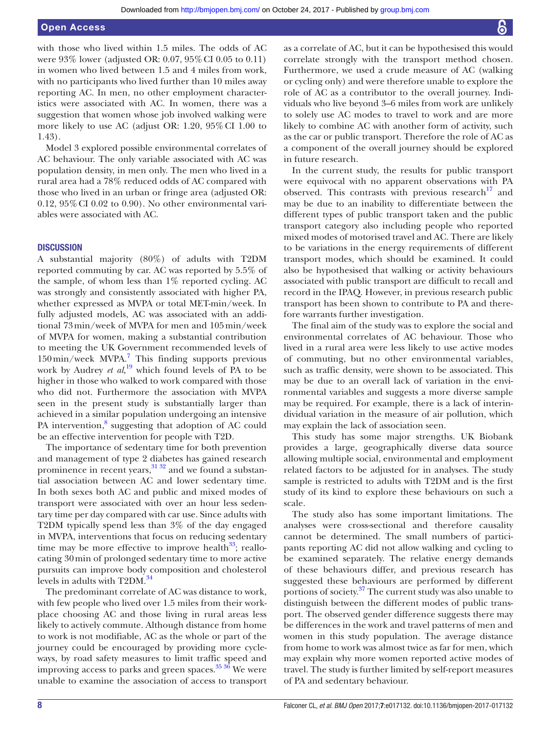with those who lived within 1.5 miles. The odds of AC were 93% lower (adjusted OR: 0.07, 95%CI 0.05 to 0.11) in women who lived between 1.5 and 4 miles from work, with no participants who lived further than 10 miles away reporting AC. In men, no other employment characteristics were associated with AC. In women, there was a suggestion that women whose job involved walking were more likely to use AC (adjust OR: 1.20, 95%CI 1.00 to 1.43).

Model 3 explored possible environmental correlates of AC behaviour. The only variable associated with AC was population density, in men only. The men who lived in a rural area had a 78% reduced odds of AC compared with those who lived in an urban or fringe area (adjusted OR: 0.12, 95%CI 0.02 to 0.90). No other environmental variables were associated with AC.

#### **DISCUSSION**

A substantial majority (80%) of adults with T2DM reported commuting by car. AC was reported by 5.5% of the sample, of whom less than 1% reported cycling. AC was strongly and consistently associated with higher PA, whether expressed as MVPA or total MET-min/week. In fully adjusted models, AC was associated with an additional 73min/week of MVPA for men and 105min/week of MVPA for women, making a substantial contribution to meeting the UK Government recommended levels of  $150\,\mathrm{min/week}$  MVPA.<sup>[7](#page-8-5)</sup> This finding supports previous work by Audrey *et al*,<sup>[19](#page-8-14)</sup> which found levels of PA to be higher in those who walked to work compared with those who did not. Furthermore the association with MVPA seen in the present study is substantially larger than achieved in a similar population undergoing an intensive PA intervention,<sup>[8](#page-8-25)</sup> suggesting that adoption of AC could be an effective intervention for people with T2D.

The importance of sedentary time for both prevention and management of type 2 diabetes has gained research prominence in recent years,  $31 \frac{32}{2}$  and we found a substantial association between AC and lower sedentary time. In both sexes both AC and public and mixed modes of transport were associated with over an hour less sedentary time per day compared with car use. Since adults with T2DM typically spend less than 3% of the day engaged in MVPA, interventions that focus on reducing sedentary time may be more effective to improve health $^{33}$  $^{33}$  $^{33}$ ; reallocating 30min of prolonged sedentary time to more active pursuits can improve body composition and cholesterol levels in adults with T2DM.<sup>34</sup>

The predominant correlate of AC was distance to work, with few people who lived over 1.5 miles from their workplace choosing AC and those living in rural areas less likely to actively commute. Although distance from home to work is not modifiable, AC as the whole or part of the journey could be encouraged by providing more cycleways, by road safety measures to limit traffic speed and improving access to parks and green spaces.<sup>35 36</sup> We were unable to examine the association of access to transport

as a correlate of AC, but it can be hypothesised this would correlate strongly with the transport method chosen. Furthermore, we used a crude measure of AC (walking or cycling only) and were therefore unable to explore the role of AC as a contributor to the overall journey. Individuals who live beyond 3–6 miles from work are unlikely to solely use AC modes to travel to work and are more likely to combine AC with another form of activity, such as the car or public transport. Therefore the role of AC as a component of the overall journey should be explored in future research.

In the current study, the results for public transport were equivocal with no apparent observations with PA observed. This contrasts with previous research $17$  and may be due to an inability to differentiate between the different types of public transport taken and the public transport category also including people who reported mixed modes of motorised travel and AC. There are likely to be variations in the energy requirements of different transport modes, which should be examined. It could also be hypothesised that walking or activity behaviours associated with public transport are difficult to recall and record in the IPAQ. However, in previous research public transport has been shown to contribute to PA and therefore warrants further investigation.

The final aim of the study was to explore the social and environmental correlates of AC behaviour. Those who lived in a rural area were less likely to use active modes of commuting, but no other environmental variables, such as traffic density, were shown to be associated. This may be due to an overall lack of variation in the environmental variables and suggests a more diverse sample may be required. For example, there is a lack of interindividual variation in the measure of air pollution, which may explain the lack of association seen.

This study has some major strengths. UK Biobank provides a large, geographically diverse data source allowing multiple social, environmental and employment related factors to be adjusted for in analyses. The study sample is restricted to adults with T2DM and is the first study of its kind to explore these behaviours on such a scale.

The study also has some important limitations. The analyses were cross-sectional and therefore causality cannot be determined. The small numbers of participants reporting AC did not allow walking and cycling to be examined separately. The relative energy demands of these behaviours differ, and previous research has suggested these behaviours are performed by different portions of society.[37](#page-8-30) The current study was also unable to distinguish between the different modes of public transport. The observed gender difference suggests there may be differences in the work and travel patterns of men and women in this study population. The average distance from home to work was almost twice as far for men, which may explain why more women reported active modes of travel. The study is further limited by self-report measures of PA and sedentary behaviour.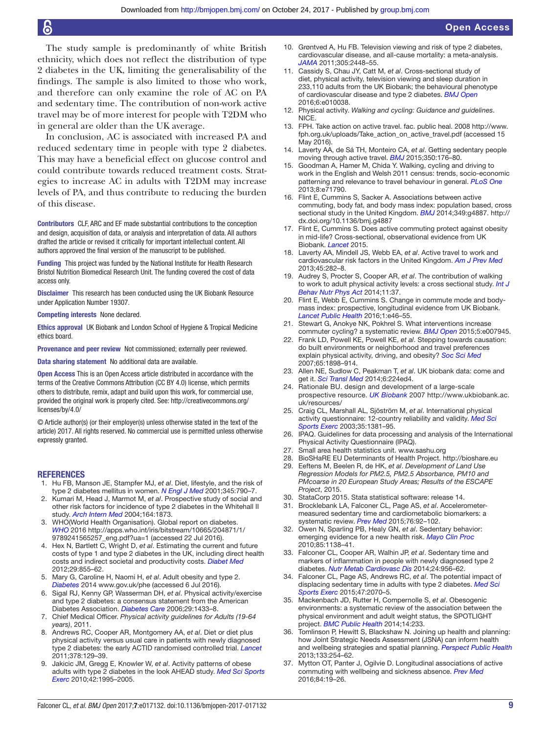The study sample is predominantly of white British ethnicity, which does not reflect the distribution of type 2 diabetes in the UK, limiting the generalisability of the findings. The sample is also limited to those who work, and therefore can only examine the role of AC on PA and sedentary time. The contribution of non-work active travel may be of more interest for people with T2DM who in general are older than the UK average.

In conclusion, AC is associated with increased PA and reduced sedentary time in people with type 2 diabetes. This may have a beneficial effect on glucose control and could contribute towards reduced treatment costs. Strategies to increase AC in adults with T2DM may increase levels of PA, and thus contribute to reducing the burden of this disease.

Contributors CLF, ARC and EF made substantial contributions to the conception and design, acquisition of data, or analysis and interpretation of data. All authors drafted the article or revised it critically for important intellectual content. All authors approved the final version of the manuscript to be published.

Funding This project was funded by the National Institute for Health Research Bristol Nutrition Biomedical Research Unit. The funding covered the cost of data access only.

Disclaimer This research has been conducted using the UK Biobank Resource under Application Number 19307.

Competing interests None declared.

Ethics approval UK Biobank and London School of Hygiene & Tropical Medicine ethics board.

Provenance and peer review Not commissioned; externally peer reviewed.

Data sharing statement No additional data are available.

Open Access This is an Open Access article distributed in accordance with the terms of the Creative Commons Attribution (CC BY 4.0) license, which permits others to distribute, remix, adapt and build upon this work, for commercial use, provided the original work is properly cited. See: [http://creativecommons.org/](http://creativecommons.org/licenses/by/4.0/) [licenses/by/4.0/](http://creativecommons.org/licenses/by/4.0/)

© Article author(s) (or their employer(s) unless otherwise stated in the text of the article) 2017. All rights reserved. No commercial use is permitted unless otherwise expressly granted.

#### **REFERENCES**

- <span id="page-8-0"></span>1. Hu FB, Manson JE, Stampfer MJ, *et al*. Diet, lifestyle, and the risk of type 2 diabetes mellitus in women. *[N Engl J Med](http://dx.doi.org/10.1056/NEJMoa010492)* 2001;345:790–7.
- <span id="page-8-1"></span>2. Kumari M, Head J, Marmot M, *et al*. Prospective study of social and other risk factors for incidence of type 2 diabetes in the Whitehall II study. *[Arch Intern Med](http://dx.doi.org/10.1001/archinte.164.17.1873)* 2004;164:1873.
- <span id="page-8-2"></span>3. WHO(World Health Organisation). Global report on diabetes. *WHO* 2016 [http://apps.who.int/iris/bitstream/10665/204871/1/](http://apps.who.int/iris/bitstream/10665/204871/1/9789241565257_eng.pdf?ua=1) [9789241565257\\_eng.pdf?ua=1](http://apps.who.int/iris/bitstream/10665/204871/1/9789241565257_eng.pdf?ua=1) (accessed 22 Jul 2016).
- <span id="page-8-3"></span>4. Hex N, Bartlett C, Wright D, *et al*. Estimating the current and future costs of type 1 and type 2 diabetes in the UK, including direct health costs and indirect societal and productivity costs. *[Diabet Med](http://dx.doi.org/10.1111/j.1464-5491.2012.03698.x)* 2012;29:855–62.
- 5. Mary G, Caroline H, Naomi H, *et al*. Adult obesity and type 2. *Diabetes* 2014 <www.gov.uk/phe> (accessed 6 Jul 2016).
- <span id="page-8-4"></span>6. Sigal RJ, Kenny GP, Wasserman DH, *et al*. Physical activity/exercise and type 2 diabetes: a consensus statement from the American Diabetes Association. *[Diabetes Care](http://dx.doi.org/10.2337/dc06-9910)* 2006;29:1433–8.
- <span id="page-8-5"></span>7. Chief Medical Officer. *Physical activity guidelines for Adults (19-64 years)*, 2011.
- <span id="page-8-25"></span>8. Andrews RC, Cooper AR, Montgomery AA, *et al*. Diet or diet plus physical activity versus usual care in patients with newly diagnosed type 2 diabetes: the early ACTID randomised controlled trial. *[Lancet](http://dx.doi.org/10.1016/S0140-6736(11)60442-X)* 2011;378:129–39.
- 9. Jakicic JM, Gregg E, Knowler W, *et al*. Activity patterns of obese adults with type 2 diabetes in the look AHEAD study. *[Med Sci Sports](http://dx.doi.org/10.1249/MSS.0b013e3181e054f0)  [Exerc](http://dx.doi.org/10.1249/MSS.0b013e3181e054f0)* 2010;42:1995–2005.
- <span id="page-8-6"></span>10. Grøntved A, Hu FB. Television viewing and risk of type 2 diabetes, cardiovascular disease, and all-cause mortality: a meta-analysis. *[JAMA](http://dx.doi.org/10.1001/jama.2011.812)* 2011;305:2448–55.
- <span id="page-8-7"></span>11. Cassidy S, Chau JY, Catt M, *et al*. Cross-sectional study of diet, physical activity, television viewing and sleep duration in 233,110 adults from the UK Biobank; the behavioural phenotype of cardiovascular disease and type 2 diabetes. *[BMJ Open](http://dx.doi.org/10.1136/bmjopen-2015-010038)* 2016;6:e010038.
- <span id="page-8-8"></span>12. Physical activity. *Walking and cycling: Guidance and guidelines*. NICE.
- <span id="page-8-9"></span>13. FPH. Take action on active travel. fac. public heal. 2008 [http://www.](http://www.fph.org.uk/uploads/Take_action_on_active_travel.pdf) [fph.org.uk/uploads/Take\\_action\\_on\\_active\\_travel.pdf](http://www.fph.org.uk/uploads/Take_action_on_active_travel.pdf) (accessed 15 May 2016).
- <span id="page-8-10"></span>14. Laverty AA, de Sá TH, Monteiro CA, *et al*. Getting sedentary people moving through active travel. *BMJ* 2015;350:176–80.
- <span id="page-8-11"></span>15. Goodman A, Hamer M, Chida Y. Walking, cycling and driving to work in the English and Welsh 2011 census: trends, socio-economic patterning and relevance to travel behaviour in general. *[PLoS One](http://dx.doi.org/10.1371/journal.pone.0071790)* 2013;8:e71790.
- <span id="page-8-12"></span>16. Flint E, Cummins S, Sacker A. Associations between active commuting, body fat, and body mass index: population based, cross sectional study in the United Kingdom. *[BMJ](http://dx.doi.org/10.1136/bmj.g4887)* 2014;349:g4887. [http://](http://dx.doi.org/10.1136/bmj.g4887) [dx.doi.org/10.1136/bmj.g4887](http://dx.doi.org/10.1136/bmj.g4887)
- <span id="page-8-13"></span>17. Flint E, Cummins S. Does active commuting protect against obesity in mid-life? Cross-sectional, observational evidence from UK Biobank. *Lancet* 2015.
- 18. Laverty AA, Mindell JS, Webb EA, *et al*. Active travel to work and cardiovascular risk factors in the United Kingdom. *[Am J Prev Med](http://dx.doi.org/10.1016/j.amepre.2013.04.012)* 2013;45:282–8.
- <span id="page-8-14"></span>19. Audrey S, Procter S, Cooper AR, *et al*. The contribution of walking to work to adult physical activity levels: a cross sectional study. *[Int J](http://dx.doi.org/10.1186/1479-5868-11-37)  [Behav Nutr Phys Act](http://dx.doi.org/10.1186/1479-5868-11-37)* 2014;11:37.
- <span id="page-8-15"></span>20. Flint E, Webb E, Cummins S. Change in commute mode and bodymass index: prospective, longitudinal evidence from UK Biobank. [Lancet Public Health](http://dx.doi.org/10.1016/S2468-2667(16)30006-8) 2016;1:e46-55.
- <span id="page-8-16"></span>21. Stewart G, Anokye NK, Pokhrel S. What interventions increase commuter cycling? a systematic review. *[BMJ Open](http://dx.doi.org/10.1136/bmjopen-2015-007945)* 2015;5:e007945.
- 22. Frank LD, Powell KE, Powell KE, *et al*. Stepping towards causation: do built environments or neighborhood and travel preferences explain physical activity, driving, and obesity? *[Soc Sci Med](http://dx.doi.org/10.1016/j.socscimed.2007.05.053)* 2007;65:1898–914.
- <span id="page-8-17"></span>23. Allen NE, Sudlow C, Peakman T, *et al*. UK biobank data: come and get it. *[Sci Transl Med](http://dx.doi.org/10.1126/scitranslmed.3008601)* 2014;6:224ed4.
- <span id="page-8-18"></span>24. Rationale BU. design and development of a large-scale prospective resource. *UK Biobank* 2007 [http://www.ukbiobank.ac.](http://www.ukbiobank.ac.uk/resources/) [uk/resources/](http://www.ukbiobank.ac.uk/resources/)
- <span id="page-8-19"></span>25. Craig CL, Marshall AL, Sjöström M, *et al*. International physical activity questionnaire: 12-country reliability and validity. *[Med Sci](http://dx.doi.org/10.1249/01.MSS.0000078924.61453.FB)  [Sports Exerc](http://dx.doi.org/10.1249/01.MSS.0000078924.61453.FB)* 2003;35:1381–95.
- <span id="page-8-20"></span>26. IPAQ. Guidelines for data processing and analysis of the International Physical Activity Questionnaire (IPAQ).
- <span id="page-8-21"></span>27. Small area health statistics unit. <www.sashu.org>
- <span id="page-8-22"></span>28. BioSHaRE EU Determinants of Health Project. <http://bioshare.eu>
- <span id="page-8-23"></span>29. Eeftens M, Beelen R, de HK, *et al*. *Development of Land Use Regression Models for PM2.5, PM2.5 Absorbance, PM10 and PMcoarse in 20 European Study Areas; Results of the ESCAPE Project*, 2015.
- <span id="page-8-24"></span>30. StataCorp 2015. Stata statistical software: release 14.
- <span id="page-8-26"></span>31. Brocklebank LA, Falconer CL, Page AS, *et al*. Accelerometermeasured sedentary time and cardiometabolic biomarkers: a systematic review. *[Prev Med](http://dx.doi.org/10.1016/j.ypmed.2015.04.013)* 2015;76:92–102.
- 32. Owen N, Sparling PB, Healy GN, *et al*. Sedentary behavior: emerging evidence for a new health risk. *[Mayo Clin Proc](http://dx.doi.org/10.4065/mcp.2010.0444)* 2010;85:1138–41.
- <span id="page-8-27"></span>33. Falconer CL, Cooper AR, Walhin JP, *et al*. Sedentary time and markers of inflammation in people with newly diagnosed type 2 diabetes. *[Nutr Metab Cardiovasc Dis](http://dx.doi.org/10.1016/j.numecd.2014.03.009)* 2014;24:956–62.
- <span id="page-8-28"></span>34. Falconer CL, Page AS, Andrews RC, *et al*. The potential impact of displacing sedentary time in adults with type 2 diabetes. *[Med Sci](http://dx.doi.org/10.1249/MSS.0000000000000651)  [Sports Exerc](http://dx.doi.org/10.1249/MSS.0000000000000651)* 2015;47:2070–5.
- <span id="page-8-29"></span>35. Mackenbach JD, Rutter H, Compernolle S, *et al*. Obesogenic environments: a systematic review of the association between the physical environment and adult weight status, the SPOTLIGHT project. *[BMC Public Health](http://dx.doi.org/10.1186/1471-2458-14-233)* 2014;14:233.
- 36. Tomlinson P, Hewitt S, Blackshaw N. Joining up health and planning: how Joint Strategic Needs Assessment (JSNA) can inform health and wellbeing strategies and spatial planning. *[Perspect Public Health](http://dx.doi.org/10.1177/1757913913488331)* 2013;133:254–62.
- <span id="page-8-30"></span>37. Mytton OT, Panter J, Ogilvie D. Longitudinal associations of active commuting with wellbeing and sickness absence. *[Prev Med](http://dx.doi.org/10.1016/j.ypmed.2015.12.010)* 2016;84:19–26.